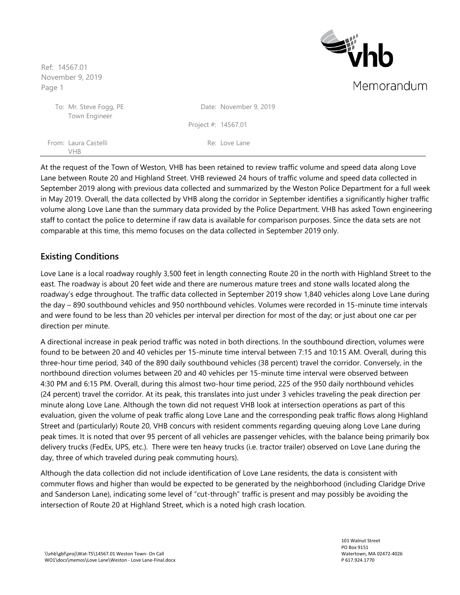VHB

From:

To: Town Engineer **Eighb** Memorandum

| Mr. Steve Fogg, PE<br>Town Engineer |                       | Date: November 9, 2019 |  |
|-------------------------------------|-----------------------|------------------------|--|
|                                     | Project #: $14567.01$ |                        |  |
| Laura Castelli                      |                       | Re: Love Lane          |  |

At the request of the Town of Weston, VHB has been retained to review traffic volume and speed data along Love Lane between Route 20 and Highland Street. VHB reviewed 24 hours of traffic volume and speed data collected in September 2019 along with previous data collected and summarized by the Weston Police Department for a full week in May 2019. Overall, the data collected by VHB along the corridor in September identifies a significantly higher traffic volume along Love Lane than the summary data provided by the Police Department. VHB has asked Town engineering staff to contact the police to determine if raw data is available for comparison purposes. Since the data sets are not comparable at this time, this memo focuses on the data collected in September 2019 only.

### **Existing Conditions**

Love Lane is a local roadway roughly 3,500 feet in length connecting Route 20 in the north with Highland Street to the east. The roadway is about 20 feet wide and there are numerous mature trees and stone walls located along the roadway's edge throughout. The traffic data collected in September 2019 show 1,840 vehicles along Love Lane during the day – 890 southbound vehicles and 950 northbound vehicles. Volumes were recorded in 15-minute time intervals and were found to be less than 20 vehicles per interval per direction for most of the day; or just about one car per direction per minute.

A directional increase in peak period traffic was noted in both directions. In the southbound direction, volumes were found to be between 20 and 40 vehicles per 15-minute time interval between 7:15 and 10:15 AM. Overall, during this three-hour time period, 340 of the 890 daily southbound vehicles (38 percent) travel the corridor. Conversely, in the northbound direction volumes between 20 and 40 vehicles per 15-minute time interval were observed between 4:30 PM and 6:15 PM. Overall, during this almost two-hour time period, 225 of the 950 daily northbound vehicles (24 percent) travel the corridor. At its peak, this translates into just under 3 vehicles traveling the peak direction per minute along Love Lane. Although the town did not request VHB look at intersection operations as part of this evaluation, given the volume of peak traffic along Love Lane and the corresponding peak traffic flows along Highland Street and (particularly) Route 20, VHB concurs with resident comments regarding queuing along Love Lane during peak times. It is noted that over 95 percent of all vehicles are passenger vehicles, with the balance being primarily box delivery trucks (FedEx, UPS, etc.). There were ten heavy trucks (i.e. tractor trailer) observed on Love Lane during the day, three of which traveled during peak commuting hours).

Although the data collection did not include identification of Love Lane residents, the data is consistent with commuter flows and higher than would be expected to be generated by the neighborhood (including Claridge Drive and Sanderson Lane), indicating some level of "cut-through" traffic is present and may possibly be avoiding the intersection of Route 20 at Highland Street, which is a noted high crash location.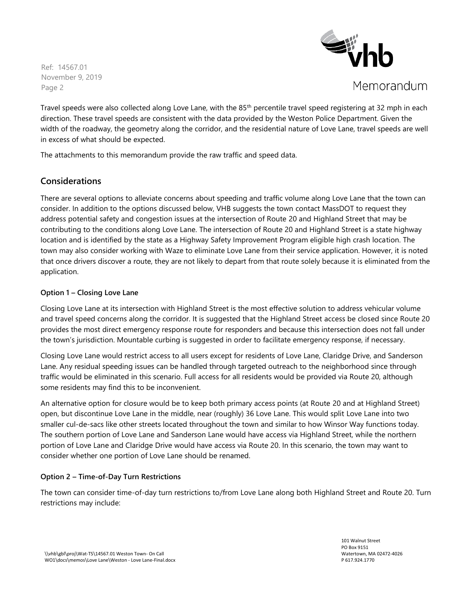

Memorandum

Travel speeds were also collected along Love Lane, with the 85<sup>th</sup> percentile travel speed registering at 32 mph in each direction. These travel speeds are consistent with the data provided by the Weston Police Department. Given the width of the roadway, the geometry along the corridor, and the residential nature of Love Lane, travel speeds are well in excess of what should be expected.

The attachments to this memorandum provide the raw traffic and speed data.

## **Considerations**

There are several options to alleviate concerns about speeding and traffic volume along Love Lane that the town can consider. In addition to the options discussed below, VHB suggests the town contact MassDOT to request they address potential safety and congestion issues at the intersection of Route 20 and Highland Street that may be contributing to the conditions along Love Lane. The intersection of Route 20 and Highland Street is a state highway location and is identified by the state as a Highway Safety Improvement Program eligible high crash location. The town may also consider working with Waze to eliminate Love Lane from their service application. However, it is noted that once drivers discover a route, they are not likely to depart from that route solely because it is eliminated from the application.

### **Option 1 – Closing Love Lane**

Closing Love Lane at its intersection with Highland Street is the most effective solution to address vehicular volume and travel speed concerns along the corridor. It is suggested that the Highland Street access be closed since Route 20 provides the most direct emergency response route for responders and because this intersection does not fall under the town's jurisdiction. Mountable curbing is suggested in order to facilitate emergency response, if necessary.

Closing Love Lane would restrict access to all users except for residents of Love Lane, Claridge Drive, and Sanderson Lane. Any residual speeding issues can be handled through targeted outreach to the neighborhood since through traffic would be eliminated in this scenario. Full access for all residents would be provided via Route 20, although some residents may find this to be inconvenient.

An alternative option for closure would be to keep both primary access points (at Route 20 and at Highland Street) open, but discontinue Love Lane in the middle, near (roughly) 36 Love Lane. This would split Love Lane into two smaller cul-de-sacs like other streets located throughout the town and similar to how Winsor Way functions today. The southern portion of Love Lane and Sanderson Lane would have access via Highland Street, while the northern portion of Love Lane and Claridge Drive would have access via Route 20. In this scenario, the town may want to consider whether one portion of Love Lane should be renamed.

### **Option 2 – Time-of-Day Turn Restrictions**

The town can consider time-of-day turn restrictions to/from Love Lane along both Highland Street and Route 20. Turn restrictions may include: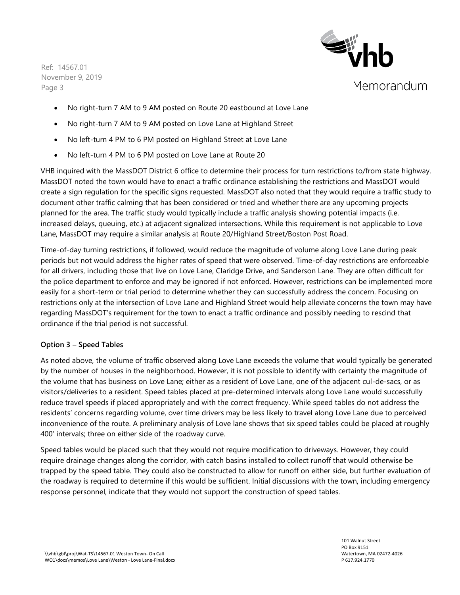

- No right-turn 7 AM to 9 AM posted on Route 20 eastbound at Love Lane
- No right-turn 7 AM to 9 AM posted on Love Lane at Highland Street
- No left-turn 4 PM to 6 PM posted on Highland Street at Love Lane
- No left-turn 4 PM to 6 PM posted on Love Lane at Route 20

VHB inquired with the MassDOT District 6 office to determine their process for turn restrictions to/from state highway. MassDOT noted the town would have to enact a traffic ordinance establishing the restrictions and MassDOT would create a sign regulation for the specific signs requested. MassDOT also noted that they would require a traffic study to document other traffic calming that has been considered or tried and whether there are any upcoming projects planned for the area. The traffic study would typically include a traffic analysis showing potential impacts (i.e. increased delays, queuing, etc.) at adjacent signalized intersections. While this requirement is not applicable to Love Lane, MassDOT may require a similar analysis at Route 20/Highland Street/Boston Post Road.

Time-of-day turning restrictions, if followed, would reduce the magnitude of volume along Love Lane during peak periods but not would address the higher rates of speed that were observed. Time-of-day restrictions are enforceable for all drivers, including those that live on Love Lane, Claridge Drive, and Sanderson Lane. They are often difficult for the police department to enforce and may be ignored if not enforced. However, restrictions can be implemented more easily for a short-term or trial period to determine whether they can successfully address the concern. Focusing on restrictions only at the intersection of Love Lane and Highland Street would help alleviate concerns the town may have regarding MassDOT's requirement for the town to enact a traffic ordinance and possibly needing to rescind that ordinance if the trial period is not successful.

#### **Option 3 – Speed Tables**

As noted above, the volume of traffic observed along Love Lane exceeds the volume that would typically be generated by the number of houses in the neighborhood. However, it is not possible to identify with certainty the magnitude of the volume that has business on Love Lane; either as a resident of Love Lane, one of the adjacent cul-de-sacs, or as visitors/deliveries to a resident. Speed tables placed at pre-determined intervals along Love Lane would successfully reduce travel speeds if placed appropriately and with the correct frequency. While speed tables do not address the residents' concerns regarding volume, over time drivers may be less likely to travel along Love Lane due to perceived inconvenience of the route. A preliminary analysis of Love lane shows that six speed tables could be placed at roughly 400' intervals; three on either side of the roadway curve.

Speed tables would be placed such that they would not require modification to driveways. However, they could require drainage changes along the corridor, with catch basins installed to collect runoff that would otherwise be trapped by the speed table. They could also be constructed to allow for runoff on either side, but further evaluation of the roadway is required to determine if this would be sufficient. Initial discussions with the town, including emergency response personnel, indicate that they would not support the construction of speed tables.